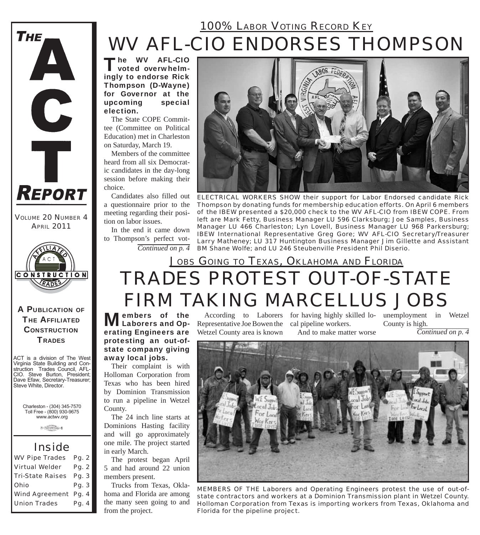## *WV AFL-CIO ENDORSES THOMPSON 100% LABOR VOTING RECORD KEY*

The WV AFL-CIO voted overwhelmingly to endorse Rick Thompson (D-Wayne) for Governor at the upcoming special election.

The State COPE Committee (Committee on Political Education) met in Charleston on Saturday, March 19.

Members of the committee heard from all six Democratic candidates in the day-long session before making their choice.

Candidates also filled out a questionnaire prior to the meeting regarding their position on labor issues.

In the end it came down to Thompson's perfect vot-



*ELECTRICAL WORKERS SHOW their support for Labor Endorsed candidate Rick Thompson by donating funds for membership education efforts. On April 6 members of the IBEW presented a \$20,000 check to the WV AFL-CIO from IBEW COPE. From left are Mark Fetty, Business Manager LU 596 Clarksburg; Joe Samples, Business Manager LU 466 Charleston; Lyn Lovell, Business Manager LU 968 Parkersburg; IBEW International Representative Greg Gore; WV AFL-CIO Secretary/Treasurer Larry Matheney; LU 317 Huntington Business Manager Jim Gillette and Assistant Continued on p. 4 BM Shane Wolfe; and LU 246 Steubenville President Phil Diserio.*

## *TRADES PROTEST OUT-OF-STATE FIRM TAKING MARCELLUS JOBS JOBS GOING TO TEXAS, OKLAHOMA AND FLORIDA*

**Members of the** According to Laborers for having highly sk<br> **Laborers and Op-** Representative Joe Bowen the cal pipeline workers. erating Engineers are protesting an out-ofstate company giving away local jobs.

Their complaint is with Holloman Corporation from Texas who has been hired by Dominion Transmission to run a pipeline in Wetzel County.

The 24 inch line starts at Dominions Hasting facility and will go approximately one mile. The project started in early March.

The protest began April 5 and had around 22 union members present.

Trucks from Texas, Oklahoma and Florida are among the many seen going to and from the project.

Wetzel County area is known

According to Laborers for having highly skilled lo-unemployment in Wetzel

And to make matter worse

*Continued on p. 4* County is high.



*MEMBERS OF THE Laborers and Operating Engineers protest the use of out-ofstate contractors and workers at a Dominion Transmission plant in Wetzel County. Holloman Corporation from Texas is importing workers from Texas, Oklahoma and Florida for the pipeline project.*

A PUBLICATION OF **THE AFFILIATED CONSTRUCTION TRADES** 

**CONSTRUCTION** 

*VOLUME 20 NUMBER 4 APRIL 2011*

**REPORT** 

**THE** 

A

C

Ť

ACT is a division of The West Virginia State Building and Construction Trades Council, AFL-CIO. Steve Burton, President; Dave Efaw, Secretary-Treasurer; Steve White, Director.

Charleston - (304) 345-7570 Toll Free - (800) 930-9675 www.actwv.org

**A** CRASH COUNCIL 6

### *Inside*

| <b>WV Pipe Trades</b>       | Pg. 2 |
|-----------------------------|-------|
| <b>Virtual Welder</b>       | Pg. 2 |
| <b>Tri-State Raises</b>     | Pg. 3 |
| <b>Ohio</b>                 | Pg. 3 |
| <b>Wind Agreement Pg. 4</b> |       |
| <b>Union Trades</b>         | Pg. 4 |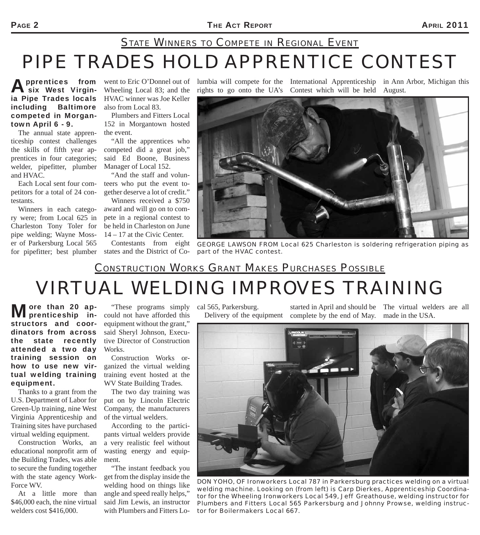## *PIPE TRADES HOLD APPRENTICE CONTEST STATE WINNERS TO COMPETE IN REGIONAL EVENT*

**Apprentices from<br>A six West Virgin**ia Pipe Trades locals including Baltimore competed in Morgantown April 6 - 9.

The annual state apprenticeship contest challenges the skills of fifth year apprentices in four categories; welder, pipefitter, plumber and HVAC.

Each Local sent four competitors for a total of 24 contestants.

Winners in each category were; from Local 625 in Charleston Tony Toler for pipe welding; Wayne Mosser of Parkersburg Local 565 for pipefitter; best plumber

Wheeling Local 83; and the HVAC winner was Joe Keller also from Local 83.

Plumbers and Fitters Local 152 in Morgantown hosted the event.

"All the apprentices who competed did a great job," said Ed Boone, Business Manager of Local 152.

"And the staff and volunteers who put the event together deserve a lot of credit."

Winners received a \$750 award and will go on to compete in a regional contest to be held in Charleston on June 14 – 17 at the Civic Center.

Contestants from eight states and the District of Co-

went to Eric O'Donnel out of lumbia will compete for the International Apprenticeship in Ann Arbor, Michigan this rights to go onto the UA's Contest which will be held August.



*GEORGE LAWSON FROM Local 625 Charleston is soldering refrigeration piping as part of the HVAC contest.*

### *CONSTRUCTION WORKS GRANT MAKES PURCHASES POSSIBLE*

# *VIRTUAL WELDING IMPROVES TRAINING*

More than 20 apstructors and coordinators from across the state recently attended a two day training session on how to use new virtual welding training equipment.

Thanks to a grant from the U.S. Department of Labor for Green-Up training, nine West Virginia Apprenticeship and Training sites have purchased virtual welding equipment.

Construction Works, an educational nonprofit arm of the Building Trades, was able to secure the funding together with the state agency Work-Force WV.

At a little more than \$46,000 each, the nine virtual welders cost \$416,000.

"These programs simply could not have afforded this equipment without the grant," said Sheryl Johnson, Executive Director of Construction Works.

Construction Works organized the virtual welding training event hosted at the WV State Building Trades.

The two day training was put on by Lincoln Electric Company, the manufacturers of the virtual welders.

According to the participants virtual welders provide a very realistic feel without wasting energy and equipment.

"The instant feedback you get from the display inside the welding hood on things like angle and speed really helps," said Jim Lewis, an instructor with Plumbers and Fitters Lo-

cal 565, Parkersburg.

Delivery of the equipment complete by the end of May. made in the USA. started in April and should be The virtual welders are all



*DON YOHO, OF Ironworkers Local 787 in Parkersburg practices welding on a virtual welding machine. Looking on (from left) is Carp Dierkes, Apprenticeship Coordinator for the Wheeling Ironworkers Local 549, Jeff Greathouse, welding instructor for Plumbers and Fitters Local 565 Parkersburg and Johnny Prowse, welding instructor for Boilermakers Local 667.*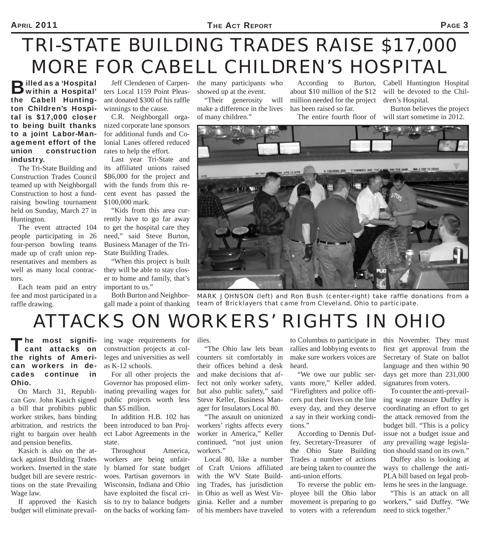# *TRI-STATE BUILDING TRADES RAISE \$17,000 MORE FOR CABELL CHILDREN'S HOSPITAL*

**B**illed as a 'Hospital'<br>
within a Hospital' the Cabell Huntington Children's Hospital is \$17,000 closer to being built thanks to a joint Labor-Management effort of the union construction industry.

The Tri-State Building and Construction Trades Council teamed up with Neighborgall Construction to host a fundraising bowling tournament held on Sunday, March 27 in Huntington.

The event attracted 104 people participating in 26 four-person bowling teams made up of craft union representatives and members as well as many local contractors.

Each team paid an entry fee and most participated in a raffle drawing.

Jeff Clendenen of Carpenters Local 1159 Point Pleasant donated \$300 of his raffle winnings to the cause.

C.R. Neighborgall organized corporate lane sponsors for additional funds and Colonial Lanes offered reduced rates to help the effort.

Last year Tri-State and its affiliated unions raised \$86,000 for the project and with the funds from this recent event has passed the \$100,000 mark.

"Kids from this area currently have to go far away to get the hospital care they need," said Steve Burton, Business Manager of the Tri-State Building Trades.

"When this project is built they will be able to stay closer to home and family, that's important to us."

Both Burton and Neighborgall made a point of thanking

the many participants who showed up at the event.

"Their generosity will make a difference in the lives of many children."

According to Burton, about \$10 million of the \$12 million needed for the project has been raised so far.

Cabell Huntington Hospital will be devoted to the Children's Hospital.

The entire fourth floor of will start sometime in 2012. Burton believes the project



*MARK JOHNSON (left) and Ron Bush (center-right) take raffle donations from a team of Bricklayers that came from Cleveland, Ohio to participate.*

## *ATTACKS ON WORKERS' RIGHTS IN OHIO*

The most signifi-<br>cant attacks on the rights of American workers in decades continue in Ohio.

On March 31, Republican Gov. John Kasich signed a bill that prohibits public worker strikes, bans binding arbitration, and restricts the right to bargain over health and pension benefits.

Kasich is also on the attack against Building Trades workers. Inserted in the state budget bill are severe restrictions on the state Prevailing Wage law.

If approved the Kasich budget will eliminate prevail-

ing wage requirements for ilies. construction projects at colleges and universities as well as K-12 schools.

For all other projects the Governor has proposed eliminating prevailing wages for public projects worth less than \$5 million.

In addition H.B. 102 has been introduced to ban Project Labor Agreements in the state.

Throughout America, workers are being unfairly blamed for state budget woes. Partisan governors in Wisconsin, Indiana and Ohio have exploited the fiscal crisis to try to balance budgets on the backs of working fam-

"The Ohio law lets bean counters sit comfortably in their offices behind a desk and make decisions that affect not only worker safety, but also public safety," said Steve Keller, Business Manager for Insulators Local 80.

"The assault on unionized workers' rights affects every worker in America," Keller continued, "not just union workers."

Local 80, like a number of Craft Unions affiliated with the WV State Building Trades, has jurisdiction in Ohio as well as West Virginia. Keller and a number of his members have traveled

to Columbus to participate in rallies and lobbying events to make sure workers voices are heard.

"We owe our public servants more," Keller added. "Firefighters and police officers put their lives on the line every day, and they deserve a say in their working conditions."

According to Dennis Duffey, Secretary-Treasurer of the Ohio State Building Trades a number of actions are being taken to counter the anti-union efforts.

To reverse the public employee bill the Ohio labor movement is preparing to go to voters with a referendum

this November. They must first get approval from the Secretary of State on ballot language and then within 90 days get more than 231,000 signatures from voters.

To counter the anti-prevailing wage measure Duffey is coordinating an effort to get the attack removed from the budget bill. "This is a policy issue not a budget issue and any prevailing wage legislation should stand on its own."

Duffey also is looking at ways to challenge the anti-PLA bill based on legal problems he sees in the language.

"This is an attack on all workers," said Duffey. "We need to stick together."